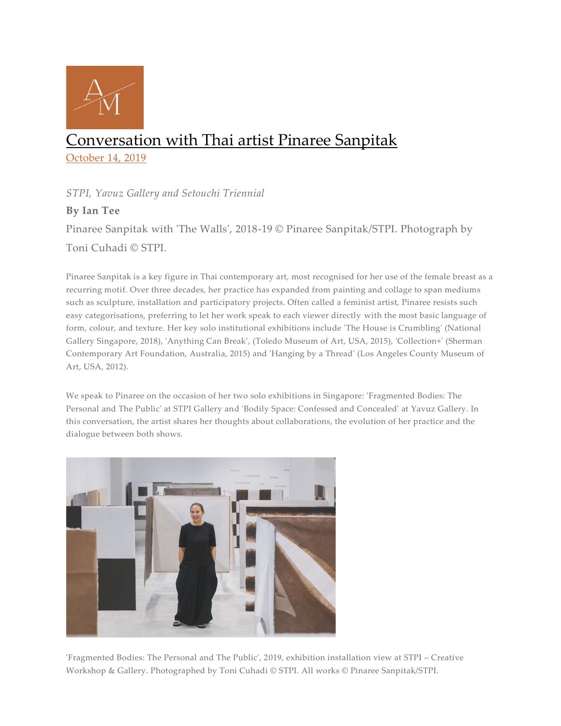

# Conversation with Thai artist Pinaree Sanpitak

October 14, 2019

# *STPI, Yavuz Gallery and Setouchi Triennial*

# **By Ian Tee**

Pinaree Sanpitak with 'The Walls', 2018-19 © Pinaree Sanpitak/STPI. Photograph by Toni Cuhadi © STPI.

Pinaree Sanpitak is a key figure in Thai contemporary art, most recognised for her use of the female breast as a recurring motif. Over three decades, her practice has expanded from painting and collage to span mediums such as sculpture, installation and participatory projects. Often called a feminist artist, Pinaree resists such easy categorisations, preferring to let her work speak to each viewer directly with the most basic language of form, colour, and texture. Her key solo institutional exhibitions include 'The House is Crumbling' (National Gallery Singapore, 2018), 'Anything Can Break', (Toledo Museum of Art, USA, 2015), 'Collection+' (Sherman Contemporary Art Foundation, Australia, 2015) and 'Hanging by a Thread' (Los Angeles County Museum of Art, USA, 2012).

We speak to Pinaree on the occasion of her two solo exhibitions in Singapore: 'Fragmented Bodies: The Personal and The Public' at STPI Gallery and 'Bodily Space: Confessed and Concealed' at Yavuz Gallery. In this conversation, the artist shares her thoughts about collaborations, the evolution of her practice and the dialogue between both shows.



'Fragmented Bodies: The Personal and The Public', 2019, exhibition installation view at STPI – Creative Workshop & Gallery. Photographed by Toni Cuhadi © STPI. All works © Pinaree Sanpitak/STPI.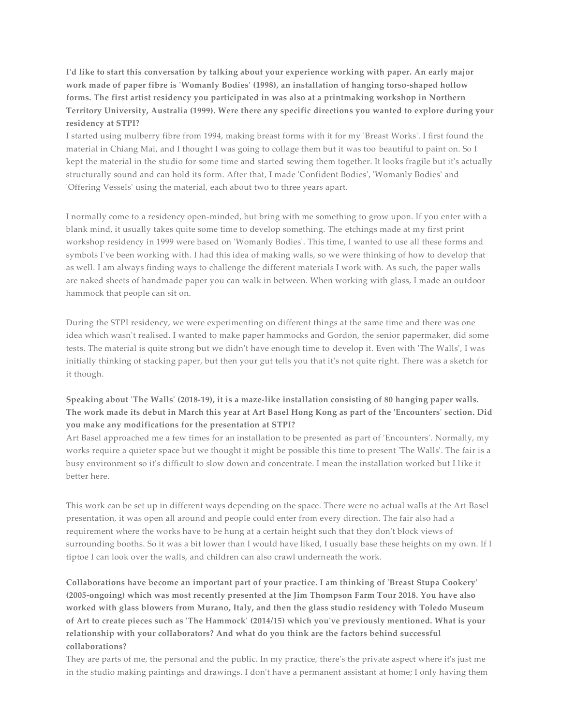**I'd like to start this conversation by talking about your experience working with paper. An early major work made of paper fibre is 'Womanly Bodies' (1998), an installation of hanging torso-shaped hollow forms. The first artist residency you participated in was also at a printmaking workshop in Northern Territory University, Australia (1999). Were there any specific directions you wanted to explore during your residency at STPI?**

I started using mulberry fibre from 1994, making breast forms with it for my 'Breast Works'. I first found the material in Chiang Mai, and I thought I was going to collage them but it was too beautiful to paint on. So I kept the material in the studio for some time and started sewing them together. It looks fragile but it's actually structurally sound and can hold its form. After that, I made 'Confident Bodies', 'Womanly Bodies' and 'Offering Vessels' using the material, each about two to three years apart.

I normally come to a residency open-minded, but bring with me something to grow upon. If you enter with a blank mind, it usually takes quite some time to develop something. The etchings made at my first print workshop residency in 1999 were based on 'Womanly Bodies'. This time, I wanted to use all these forms and symbols I've been working with. I had this idea of making walls, so we were thinking of how to develop that as well. I am always finding ways to challenge the different materials I work with. As such, the paper walls are naked sheets of handmade paper you can walk in between. When working with glass, I made an outdoor hammock that people can sit on.

During the STPI residency, we were experimenting on different things at the same time and there was one idea which wasn't realised. I wanted to make paper hammocks and Gordon, the senior papermaker, did some tests. The material is quite strong but we didn't have enough time to develop it. Even with 'The Walls', I was initially thinking of stacking paper, but then your gut tells you that it's not quite right. There was a sketch for it though.

### **Speaking about 'The Walls' (2018-19), it is a maze-like installation consisting of 80 hanging paper walls. The work made its debut in March this year at Art Basel Hong Kong as part of the 'Encounters' section. Did you make any modifications for the presentation at STPI?**

Art Basel approached me a few times for an installation to be presented as part of 'Encounters'. Normally, my works require a quieter space but we thought it might be possible this time to present 'The Walls'. The fair is a busy environment so it's difficult to slow down and concentrate. I mean the installation worked but I like it better here.

This work can be set up in different ways depending on the space. There were no actual walls at the Art Basel presentation, it was open all around and people could enter from every direction. The fair also had a requirement where the works have to be hung at a certain height such that they don't block views of surrounding booths. So it was a bit lower than I would have liked, I usually base these heights on my own. If I tiptoe I can look over the walls, and children can also crawl underneath the work.

**Collaborations have become an important part of your practice. I am thinking of 'Breast Stupa Cookery' (2005-ongoing) which was most recently presented at the Jim Thompson Farm Tour 2018. You have also worked with glass blowers from Murano, Italy, and then the glass studio residency with Toledo Museum of Art to create pieces such as 'The Hammock' (2014/15) which you've previously mentioned. What is your relationship with your collaborators? And what do you think are the factors behind successful collaborations?**

They are parts of me, the personal and the public. In my practice, there's the private aspect where it's just me in the studio making paintings and drawings. I don't have a permanent assistant at home; I only having them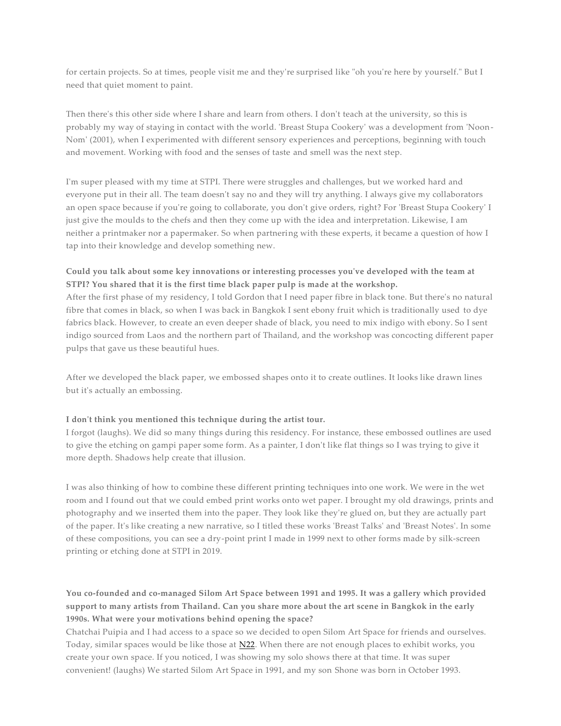for certain projects. So at times, people visit me and they're surprised like "oh you're here by yourself." But I need that quiet moment to paint.

Then there's this other side where I share and learn from others. I don't teach at the university, so this is probably my way of staying in contact with the world. 'Breast Stupa Cookery' was a development from 'Noon-Nom' (2001), when I experimented with different sensory experiences and perceptions, beginning with touch and movement. Working with food and the senses of taste and smell was the next step.

I'm super pleased with my time at STPI. There were struggles and challenges, but we worked hard and everyone put in their all. The team doesn't say no and they will try anything. I always give my collaborators an open space because if you're going to collaborate, you don't give orders, right? For 'Breast Stupa Cookery' I just give the moulds to the chefs and then they come up with the idea and interpretation. Likewise, I am neither a printmaker nor a papermaker. So when partnering with these experts, it became a question of how I tap into their knowledge and develop something new.

#### **Could you talk about some key innovations or interesting processes you've developed with the team at STPI? You shared that it is the first time black paper pulp is made at the workshop.**

After the first phase of my residency, I told Gordon that I need paper fibre in black tone. But there's no natural fibre that comes in black, so when I was back in Bangkok I sent ebony fruit which is traditionally used to dye fabrics black. However, to create an even deeper shade of black, you need to mix indigo with ebony. So I sent indigo sourced from Laos and the northern part of Thailand, and the workshop was concocting different paper pulps that gave us these beautiful hues.

After we developed the black paper, we embossed shapes onto it to create outlines. It looks like drawn lines but it's actually an embossing.

#### **I don't think you mentioned this technique during the artist tour.**

I forgot (laughs). We did so many things during this residency. For instance, these embossed outlines are used to give the etching on gampi paper some form. As a painter, I don't like flat things so I was trying to give it more depth. Shadows help create that illusion.

I was also thinking of how to combine these different printing techniques into one work. We were in the wet room and I found out that we could embed print works onto wet paper. I brought my old drawings, prints and photography and we inserted them into the paper. They look like they're glued on, but they are actually part of the paper. It's like creating a new narrative, so I titled these works 'Breast Talks' and 'Breast Notes'. In some of these compositions, you can see a dry-point print I made in 1999 next to other forms made by silk-screen printing or etching done at STPI in 2019.

## **You co-founded and co-managed Silom Art Space between 1991 and 1995. It was a gallery which provided support to many artists from Thailand. Can you share more about the art scene in Bangkok in the early 1990s. What were your motivations behind opening the space?**

Chatchai Puipia and I had access to a space so we decided to open Silom Art Space for friends and ourselves. Today, similar spaces would be like those at [N22.](https://www.facebook.com/N22-140173469762568/) When there are not enough places to exhibit works, you create your own space. If you noticed, I was showing my solo shows there at that time. It was super convenient! (laughs) We started Silom Art Space in 1991, and my son Shone was born in October 1993.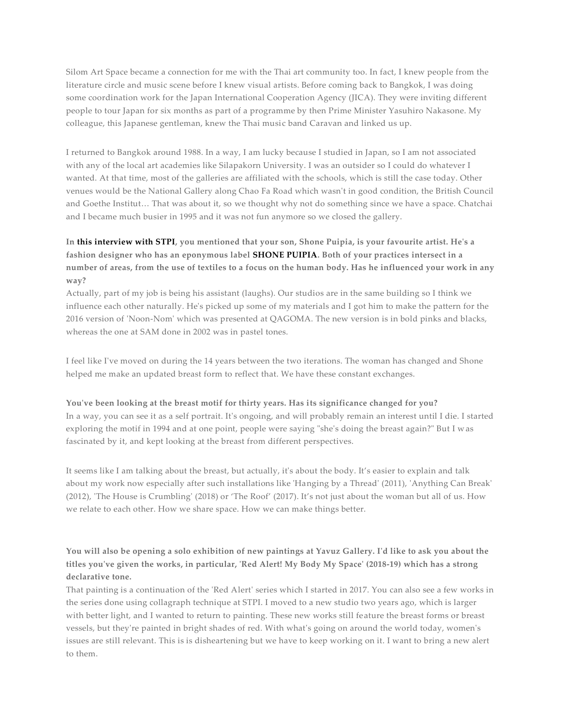Silom Art Space became a connection for me with the Thai art community too. In fact, I knew people from the literature circle and music scene before I knew visual artists. Before coming back to Bangkok, I was doing some coordination work for the Japan International Cooperation Agency (JICA). They were inviting different people to tour Japan for six months as part of a programme by then Prime Minister Yasuhiro Nakasone. My colleague, this Japanese gentleman, knew the Thai music band Caravan and linked us up.

I returned to Bangkok around 1988. In a way, I am lucky because I studied in Japan, so I am not associated with any of the local art academies like Silapakorn University. I was an outsider so I could do whatever I wanted. At that time, most of the galleries are affiliated with the schools, which is still the case today. Other venues would be the National Gallery along Chao Fa Road which wasn't in good condition, the British Council and Goethe Institut… That was about it, so we thought why not do something since we have a space. Chatchai and I became much busier in 1995 and it was not fun anymore so we closed the gallery.

## **In [this interview with STPI,](https://www.facebook.com/notes/stpi-creative-workshop-gallery/an-afternoon-with-pinaree-sanpitak/2008045049215778/) you mentioned that your son, Shone Puipia, is your favourite artist. He's a fashion designer who has an eponymous labe[l SHONE PUIPIA.](http://www.shonepuipia.com/) Both of your practices intersect in a number of areas, from the use of textiles to a focus on the human body. Has he influenced your work in any way?**

Actually, part of my job is being his assistant (laughs). Our studios are in the same building so I think we influence each other naturally. He's picked up some of my materials and I got him to make the pattern for the 2016 version of 'Noon-Nom' which was presented at QAGOMA. The new version is in bold pinks and blacks, whereas the one at SAM done in 2002 was in pastel tones.

I feel like I've moved on during the 14 years between the two iterations. The woman has changed and Shone helped me make an updated breast form to reflect that. We have these constant exchanges.

#### **You've been looking at the breast motif for thirty years. Has its significance changed for you?**

In a way, you can see it as a self portrait. It's ongoing, and will probably remain an interest until I die. I started exploring the motif in 1994 and at one point, people were saying "she's doing the breast again?" But I w as fascinated by it, and kept looking at the breast from different perspectives.

It seems like I am talking about the breast, but actually, it's about the body. It's easier to explain and talk about my work now especially after such installations like 'Hanging by a Thread' (2011), 'Anything Can Break' (2012), 'The House is Crumbling' (2018) or 'The Roof' (2017). It's not just about the woman but all of us. How we relate to each other. How we share space. How we can make things better.

## **You will also be opening a solo exhibition of new paintings at Yavuz Gallery. I'd like to ask you about the titles you've given the works, in particular, 'Red Alert! My Body My Space' (2018-19) which has a strong declarative tone.**

That painting is a continuation of the 'Red Alert' series which I started in 2017. You can also see a few works in the series done using collagraph technique at STPI. I moved to a new studio two years ago, which is larger with better light, and I wanted to return to painting. These new works still feature the breast forms or breast vessels, but they're painted in bright shades of red. With what's going on around the world today, women's issues are still relevant. This is is disheartening but we have to keep working on it. I want to bring a new alert to them.